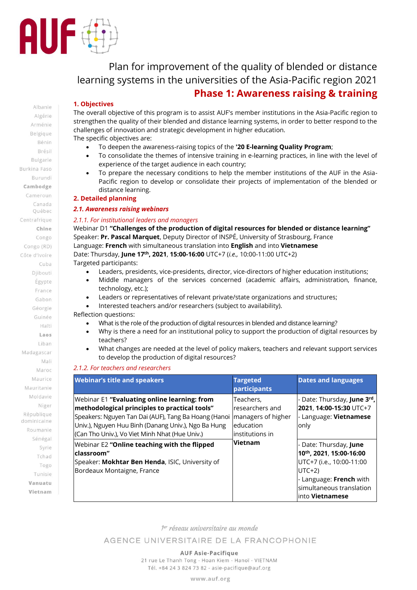

Plan for improvement of the quality of blended or distance learning systems in the universities of the Asia-Pacific region 2021 **Phase 1: Awareness raising & training**

# **1. Objectives**

The overall objective of this program is to assist AUF's member institutions in the Asia-Pacific region to strengthen the quality of their blended and distance learning systems, in order to better respond to the challenges of innovation and strategic development in higher education.

The specific objectives are:

- To deepen the awareness-raising topics of the **'20 E-learning Quality Program**;
- To consolidate the themes of intensive training in e-learning practices, in line with the level of experience of the target audience in each country;
- To prepare the necessary conditions to help the member institutions of the AUF in the Asia-Pacific region to develop or consolidate their projects of implementation of the blended or distance learning.

#### **2. Detailed planning**

### *2.1. Awareness raising webinars*

#### *2.1.1. For institutional leaders and managers*

Webinar D1 **"Challenges of the production of digital resources for blended or distance learning"** Speaker: **Pr. Pascal Marquet**, Deputy Director of INSPÉ, University of Strasbourg, France Language: **French** with simultaneous translation into **English** and into **Vietnamese** Date: Thursday, **June 17th , 2021**, **15:00-16:00** UTC+7 (*i.e.,* 10:00-11:00 UTC+2) Targeted participants:

- Leaders, presidents, vice-presidents, director, vice-directors of higher education institutions;
- Middle managers of the services concerned (academic affairs, administration, finance, technology, etc.);
- Leaders or representatives of relevant private/state organizations and structures;
- Interested teachers and/or researchers (subject to availability).

Reflection questions:

- What is the role of the production of digital resources in blended and distance learning?
- Why is there a need for an institutional policy to support the production of digital resources by teachers?
- What changes are needed at the level of policy makers, teachers and relevant support services to develop the production of digital resources?

#### *2.1.2. For teachers and researchers*

| <b>Webinar's title and speakers</b>                                                                                                                                                                                                                            | <b>Targeted</b><br>participants                                                    | <b>Dates and languages</b>                                                                                                                                                  |
|----------------------------------------------------------------------------------------------------------------------------------------------------------------------------------------------------------------------------------------------------------------|------------------------------------------------------------------------------------|-----------------------------------------------------------------------------------------------------------------------------------------------------------------------------|
| Webinar E1 "Evaluating online learning: from<br>methodological principles to practical tools"<br>Speakers: Nguyen Tan Dai (AUF), Tang Ba Hoang (Hanoi<br>Univ.), Nguyen Huu Binh (Danang Univ.), Ngo Ba Hung<br>(Can Tho Univ.), Vo Viet Minh Nhat (Hue Univ.) | Teachers,<br>researchers and<br>managers of higher<br>education<br>institutions in | - Date: Thursday, <b>June 3<sup>rd</sup>,</b><br>2021, 14:00-15:30 UTC+7<br>Language: Vietnamese<br>only                                                                    |
| Webinar E2 "Online teaching with the flipped<br>lclassroom"<br>Speaker: Mokhtar Ben Henda, ISIC, University of<br>Bordeaux Montaigne, France                                                                                                                   | <b>Vietnam</b>                                                                     | - Date: Thursday, June<br>10th, 2021, 15:00-16:00<br>UTC+7 (i.e., 10:00-11:00<br>$UTC+2)$<br>- Language: French with<br>simultaneous translation<br>linto <b>Vietnamese</b> |

1<sup>er</sup> réseau universitaire au monde

AGENCE UNIVERSITAIRE DE LA FRANCOPHONIE

**AUF Asie-Pacifique** 21 rue Le Thanh Tong - Hoan Kiem - Hanoï - VIETNAM Tél. +84 24 3 824 73 82 - asie-pacifique@auf.org

www.auf.org

Albanie Algérie Arménie Belgique Bénin Brési Bulgarie Burkina Faso Burundi Cambodge Cameroun Canada Ouébec Centrafrique Chine Congo Congo (RD) Côte d'Ivoire Cuba Djibouti Égypte France Gabon Géorgie Guinée Haïti Laos Liban Madagascar Mali Maroo Maurice Mauritanie Moldavie Niger République dominicaine Roumanie Sénégal Syrie Tchad Togo Tunisie Vanuatu Vietnam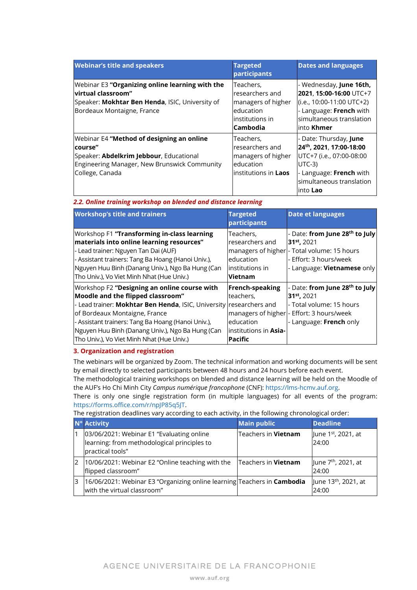| <b>Webinar's title and speakers</b>                                                                                                                                | <b>Targeted</b><br>participants                                                                | <b>Dates and languages</b>                                                                                                                                              |
|--------------------------------------------------------------------------------------------------------------------------------------------------------------------|------------------------------------------------------------------------------------------------|-------------------------------------------------------------------------------------------------------------------------------------------------------------------------|
| Webinar E3 "Organizing online learning with the<br>virtual classroom"<br>Speaker: Mokhtar Ben Henda, ISIC, University of<br>Bordeaux Montaigne, France             | Teachers,<br>researchers and<br>managers of higher<br>education<br>institutions in<br>Cambodia | - Wednesday, June 16th,<br>2021, 15:00-16:00 UTC+7<br>(i.e., 10:00-11:00 UTC+2)<br>- Language: French with<br>simultaneous translation<br>linto <b>Khmer</b>            |
| Webinar E4 "Method of designing an online<br>course"<br>Speaker: Abdelkrim Jebbour, Educational<br>Engineering Manager, New Brunswick Community<br>College, Canada | Teachers,<br>researchers and<br>managers of higher<br>education<br>institutions in Laos        | - Date: Thursday, June<br>24 <sup>th</sup> , 2021, 17:00-18:00<br>UTC+7 (i.e., 07:00-08:00<br>UTC-3)<br>- Language: French with<br>simultaneous translation<br>into Lao |

|  | 2.2. Online training workshop on blended and distance learning |  |  |
|--|----------------------------------------------------------------|--|--|
|  |                                                                |  |  |

| <b>Workshop's title and trainers</b>                                                                                                                                                                                                                                                                                                             | <b>Targeted</b><br>participants                                                              | <b>Date et languages</b>                                                                                                                                                      |
|--------------------------------------------------------------------------------------------------------------------------------------------------------------------------------------------------------------------------------------------------------------------------------------------------------------------------------------------------|----------------------------------------------------------------------------------------------|-------------------------------------------------------------------------------------------------------------------------------------------------------------------------------|
| Workshop F1 "Transforming in-class learning<br>materials into online learning resources"<br>- Lead trainer: Nguyen Tan Dai (AUF)<br>- Assistant trainers: Tang Ba Hoang (Hanoi Univ.),<br>Nguyen Huu Binh (Danang Univ.), Ngo Ba Hung (Can<br>Tho Univ.), Vo Viet Minh Nhat (Hue Univ.)                                                          | Teachers,<br>researchers and<br>education<br>linstitutions in<br>Vietnam                     | - Date: from June 28 <sup>th</sup> to July<br>31 <sup>st</sup> , 2021<br>managers of higher - Total volume: 15 hours<br>- Effort: 3 hours/week<br>- Language: Vietnamese only |
| Workshop F2 "Designing an online course with<br>Moodle and the flipped classroom"<br>- Lead trainer: Mokhtar Ben Henda, ISIC, University researchers and<br>of Bordeaux Montaigne, France<br>- Assistant trainers: Tang Ba Hoang (Hanoi Univ.),<br>Nguyen Huu Binh (Danang Univ.), Ngo Ba Hung (Can<br>Tho Univ.), Vo Viet Minh Nhat (Hue Univ.) | <b>French-speaking</b><br>teachers,<br>education<br>linstitutions in <b>Asia-</b><br>Pacific | - Date: from June 28 <sup>th</sup> to July<br>31 <sup>st</sup> , 2021<br>- Total volume: 15 hours<br>managers of higher - Effort: 3 hours/week<br>- Language: French only     |

## **3. Organization and registration**

The webinars will be organized by Zoom. The technical information and working documents will be sent by email directly to selected participants between 48 hours and 24 hours before each event.

The methodological training workshops on blended and distance learning will be held on the Moodle of the AUF's Ho Chi Minh City *Campus numérique francophone* (CNF): [https://lms-hcmv.auf.org.](https://lms-hcmv.auf.org/)

There is only one single registration form (in multiple languages) for all events of the program: [https://forms.office.com/r/npJP85q5JT.](https://forms.office.com/r/npJP85q5JT)

The registration deadlines vary according to each activity, in the following chronological order:

|              | N° Activity                                                                                                  | <b>Main public</b>         | <b>Deadline</b>                           |
|--------------|--------------------------------------------------------------------------------------------------------------|----------------------------|-------------------------------------------|
|              | 03/06/2021: Webinar E1 "Evaluating online<br>learning: from methodological principles to<br>practical tools" | Teachers in Vietnam        | June 1 <sup>st</sup> , 2021, at<br>24:00  |
| <sup>2</sup> | 10/06/2021: Webinar E2 "Online teaching with the<br>flipped classroom"                                       | Teachers in <b>Vietnam</b> | June 7 <sup>th</sup> , 2021, at<br>24:00  |
| 3            | 16/06/2021: Webinar E3 "Organizing online learning Teachers in Cambodia<br>with the virtual classroom"       |                            | June 13 <sup>th</sup> , 2021, at<br>24:00 |